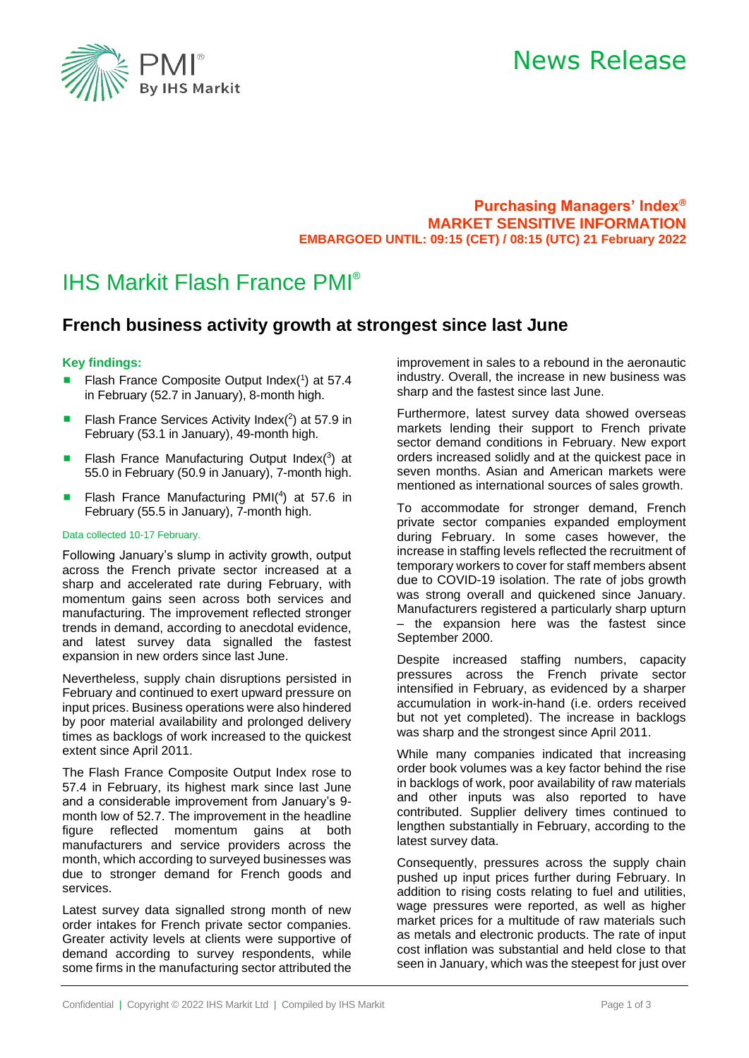

## News Release

**Purchasing Managers' Index® MARKET SENSITIVE INFORMATION EMBARGOED UNTIL: 09:15 (CET) / 08:15 (UTC) 21 February 2022**

### IHS Markit Flash France PMI®

### **French business activity growth at strongest since last June**

#### **Key findings:**

- Flash France Composite Output Index(1) at 57.4 in February (52.7 in January), 8-month high.
- Flash France Services Activity Index $(^2)$  at 57.9 in February (53.1 in January), 49-month high.
- Flash France Manufacturing Output Index(3) at 55.0 in February (50.9 in January), 7-month high.
- Flash France Manufacturing PMI(<sup>4</sup>) at 57.6 in February (55.5 in January), 7-month high.

#### Data collected 10-17 February.

Following January's slump in activity growth, output across the French private sector increased at a sharp and accelerated rate during February, with momentum gains seen across both services and manufacturing. The improvement reflected stronger trends in demand, according to anecdotal evidence, and latest survey data signalled the fastest expansion in new orders since last June.

Nevertheless, supply chain disruptions persisted in February and continued to exert upward pressure on input prices. Business operations were also hindered by poor material availability and prolonged delivery times as backlogs of work increased to the quickest extent since April 2011.

The Flash France Composite Output Index rose to 57.4 in February, its highest mark since last June and a considerable improvement from January's 9 month low of 52.7. The improvement in the headline figure reflected momentum gains at both manufacturers and service providers across the month, which according to surveyed businesses was due to stronger demand for French goods and services.

Latest survey data signalled strong month of new order intakes for French private sector companies. Greater activity levels at clients were supportive of demand according to survey respondents, while some firms in the manufacturing sector attributed the

improvement in sales to a rebound in the aeronautic industry. Overall, the increase in new business was sharp and the fastest since last June.

Furthermore, latest survey data showed overseas markets lending their support to French private sector demand conditions in February. New export orders increased solidly and at the quickest pace in seven months. Asian and American markets were mentioned as international sources of sales growth.

To accommodate for stronger demand, French private sector companies expanded employment during February. In some cases however, the increase in staffing levels reflected the recruitment of temporary workers to cover for staff members absent due to COVID-19 isolation. The rate of jobs growth was strong overall and quickened since January. Manufacturers registered a particularly sharp upturn – the expansion here was the fastest since September 2000.

Despite increased staffing numbers, capacity pressures across the French private sector intensified in February, as evidenced by a sharper accumulation in work-in-hand (i.e. orders received but not yet completed). The increase in backlogs was sharp and the strongest since April 2011.

While many companies indicated that increasing order book volumes was a key factor behind the rise in backlogs of work, poor availability of raw materials and other inputs was also reported to have contributed. Supplier delivery times continued to lengthen substantially in February, according to the latest survey data.

Consequently, pressures across the supply chain pushed up input prices further during February. In addition to rising costs relating to fuel and utilities, wage pressures were reported, as well as higher market prices for a multitude of raw materials such as metals and electronic products. The rate of input cost inflation was substantial and held close to that seen in January, which was the steepest for just over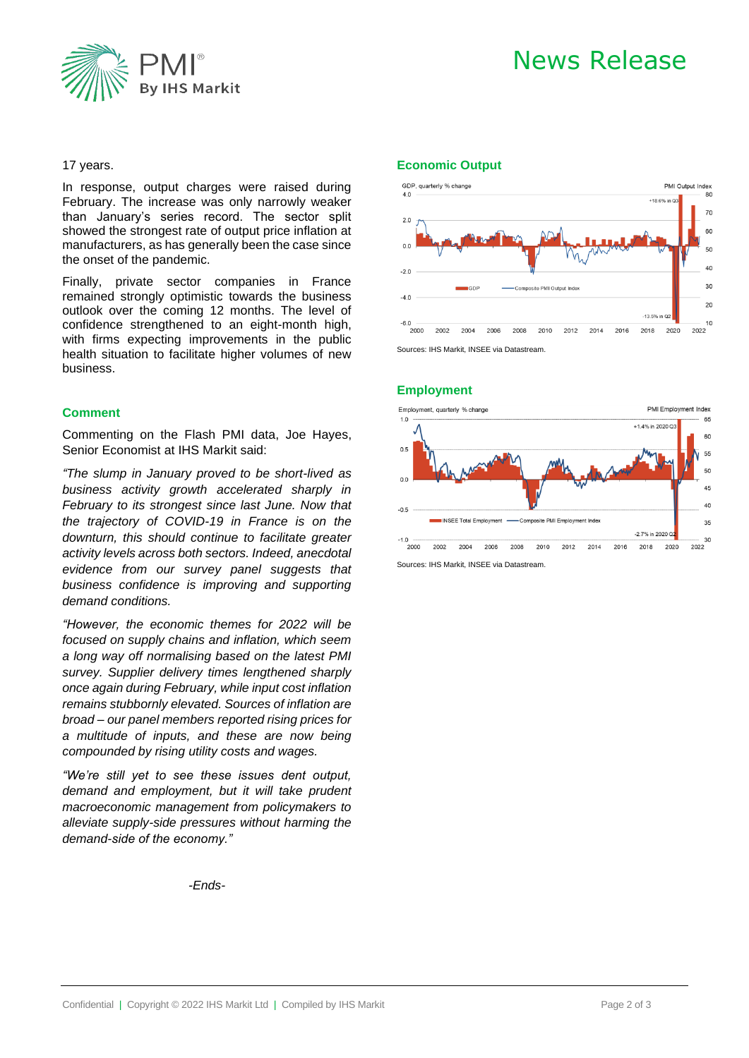



#### 17 years.

In response, output charges were raised during February. The increase was only narrowly weaker than January's series record. The sector split showed the strongest rate of output price inflation at manufacturers, as has generally been the case since the onset of the pandemic.

Finally, private sector companies in France remained strongly optimistic towards the business outlook over the coming 12 months. The level of confidence strengthened to an eight-month high, with firms expecting improvements in the public health situation to facilitate higher volumes of new business.

#### **Comment**

Commenting on the Flash PMI data, Joe Hayes, Senior Economist at IHS Markit said:

*"The slump in January proved to be short-lived as business activity growth accelerated sharply in February to its strongest since last June. Now that the trajectory of COVID-19 in France is on the downturn, this should continue to facilitate greater activity levels across both sectors. Indeed, anecdotal evidence from our survey panel suggests that business confidence is improving and supporting demand conditions.* 

*"However, the economic themes for 2022 will be focused on supply chains and inflation, which seem a long way off normalising based on the latest PMI survey. Supplier delivery times lengthened sharply once again during February, while input cost inflation remains stubbornly elevated. Sources of inflation are broad – our panel members reported rising prices for a multitude of inputs, and these are now being compounded by rising utility costs and wages.* 

*"We're still yet to see these issues dent output, demand and employment, but it will take prudent macroeconomic management from policymakers to alleviate supply-side pressures without harming the demand-side of the economy."*

*-Ends-*

#### **Economic Output**



#### **Employment**



Sources: IHS Markit, INSEE via Datastream.